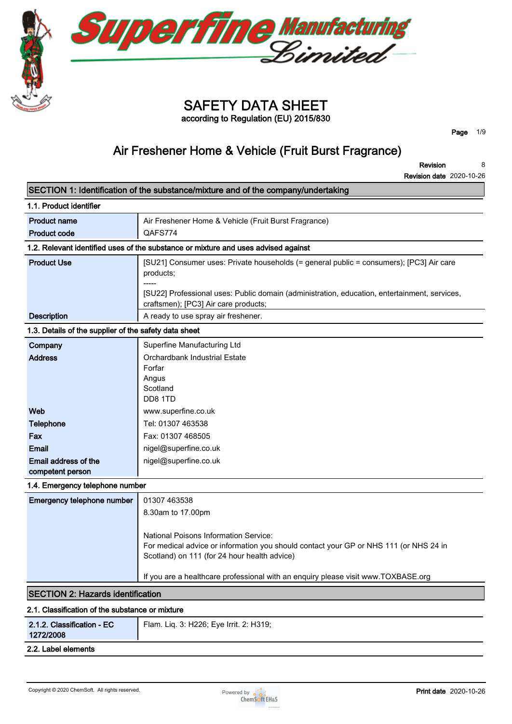

**Superfine Manufacturing** 

**according to Regulation (EU) 2015/830**

**Page 1/9**

# **Air Freshener Home & Vehicle (Fruit Burst Fragrance)**

**Revision Revision date 2020-10-26 8**

|                                                       | SECTION 1: Identification of the substance/mixture and of the company/undertaking                                                                                              |
|-------------------------------------------------------|--------------------------------------------------------------------------------------------------------------------------------------------------------------------------------|
| 1.1. Product identifier                               |                                                                                                                                                                                |
| <b>Product name</b>                                   | Air Freshener Home & Vehicle (Fruit Burst Fragrance)                                                                                                                           |
| <b>Product code</b>                                   | QAFS774                                                                                                                                                                        |
|                                                       | 1.2. Relevant identified uses of the substance or mixture and uses advised against                                                                                             |
| <b>Product Use</b>                                    | [SU21] Consumer uses: Private households (= general public = consumers); [PC3] Air care<br>products;                                                                           |
|                                                       | [SU22] Professional uses: Public domain (administration, education, entertainment, services,<br>craftsmen); [PC3] Air care products;                                           |
| <b>Description</b>                                    | A ready to use spray air freshener.                                                                                                                                            |
| 1.3. Details of the supplier of the safety data sheet |                                                                                                                                                                                |
| Company<br><b>Address</b>                             | Superfine Manufacturing Ltd<br>Orchardbank Industrial Estate<br>Forfar<br>Angus<br>Scotland<br>DD8 1TD                                                                         |
| Web                                                   | www.superfine.co.uk                                                                                                                                                            |
| <b>Telephone</b>                                      | Tel: 01307 463538                                                                                                                                                              |
| Fax                                                   | Fax: 01307 468505                                                                                                                                                              |
| <b>Email</b>                                          | nigel@superfine.co.uk                                                                                                                                                          |
| Email address of the<br>competent person              | nigel@superfine.co.uk                                                                                                                                                          |
| 1.4. Emergency telephone number                       |                                                                                                                                                                                |
| Emergency telephone number                            | 01307 463538                                                                                                                                                                   |
|                                                       | 8.30am to 17.00pm                                                                                                                                                              |
|                                                       | National Poisons Information Service:<br>For medical advice or information you should contact your GP or NHS 111 (or NHS 24 in<br>Scotland) on 111 (for 24 hour health advice) |
|                                                       | If you are a healthcare professional with an enquiry please visit www.TOXBASE.org                                                                                              |
| <b>SECTION 2: Hazards identification</b>              |                                                                                                                                                                                |
| 2.1. Classification of the substance or mixture       |                                                                                                                                                                                |
| 2.1.2. Classification - EC<br>1272/2008               | Flam. Liq. 3: H226; Eye Irrit. 2: H319;                                                                                                                                        |
| 2.2. Label elements                                   |                                                                                                                                                                                |
|                                                       |                                                                                                                                                                                |

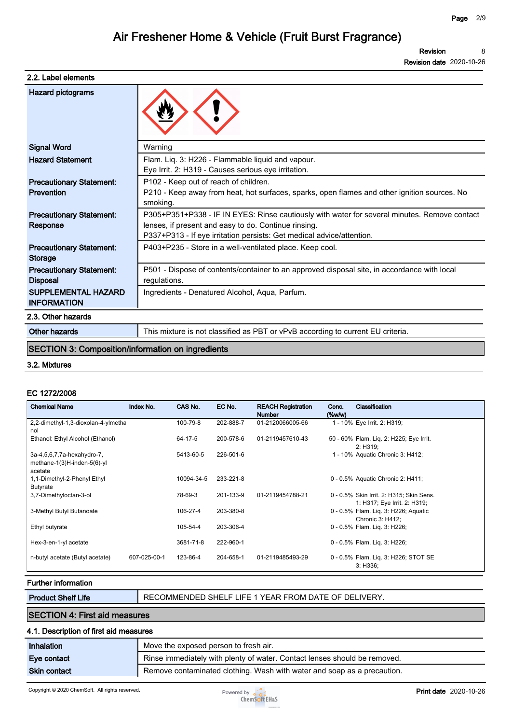| 2.2. Label elements                                  |                                                                                                                                                                                                                               |
|------------------------------------------------------|-------------------------------------------------------------------------------------------------------------------------------------------------------------------------------------------------------------------------------|
| Hazard pictograms                                    |                                                                                                                                                                                                                               |
| <b>Signal Word</b>                                   | Warning                                                                                                                                                                                                                       |
| <b>Hazard Statement</b>                              | Flam. Liq. 3: H226 - Flammable liquid and vapour.<br>Eye Irrit. 2: H319 - Causes serious eye irritation.                                                                                                                      |
| <b>Precautionary Statement:</b><br><b>Prevention</b> | P102 - Keep out of reach of children.<br>P210 - Keep away from heat, hot surfaces, sparks, open flames and other ignition sources. No<br>smoking.                                                                             |
| <b>Precautionary Statement:</b><br>Response          | P305+P351+P338 - IF IN EYES: Rinse cautiously with water for several minutes. Remove contact<br>lenses, if present and easy to do. Continue rinsing.<br>P337+P313 - If eye irritation persists: Get medical advice/attention. |
| <b>Precautionary Statement:</b><br><b>Storage</b>    | P403+P235 - Store in a well-ventilated place. Keep cool.                                                                                                                                                                      |
| <b>Precautionary Statement:</b><br><b>Disposal</b>   | P501 - Dispose of contents/container to an approved disposal site, in accordance with local<br>regulations.                                                                                                                   |
| <b>SUPPLEMENTAL HAZARD</b><br><b>INFORMATION</b>     | Ingredients - Denatured Alcohol, Aqua, Parfum.                                                                                                                                                                                |
| 2.3. Other hazards                                   |                                                                                                                                                                                                                               |
| Other hazards                                        | This mixture is not classified as PBT or vPvB according to current EU criteria.                                                                                                                                               |

## **SECTION 3: Composition/information on ingredients**

#### **3.2. Mixtures**

#### **EC 1272/2008**

| <b>Chemical Name</b>                                                 | Index No.    | CAS No.    | EC No.    | <b>REACH Registration</b><br><b>Number</b> | Conc.<br>$(\%w/w)$ | Classification                                                           |
|----------------------------------------------------------------------|--------------|------------|-----------|--------------------------------------------|--------------------|--------------------------------------------------------------------------|
| 2,2-dimethyl-1,3-dioxolan-4-ylmetha<br>nol                           |              | 100-79-8   | 202-888-7 | 01-2120066005-66                           |                    | 1 - 10% Eye Irrit. 2: H319;                                              |
| Ethanol: Ethyl Alcohol (Ethanol)                                     |              | 64-17-5    | 200-578-6 | 01-2119457610-43                           |                    | 50 - 60% Flam. Liq. 2: H225; Eye Irrit.<br>2: H319:                      |
| 3a-4,5,6,7,7a-hexahydro-7,<br>methane-1(3)H-inden-5(6)-yl<br>acetate |              | 5413-60-5  | 226-501-6 |                                            |                    | 1 - 10% Aquatic Chronic 3: H412;                                         |
| 1,1-Dimethyl-2-Phenyl Ethyl<br>Butyrate                              |              | 10094-34-5 | 233-221-8 |                                            |                    | 0 - 0.5% Aguatic Chronic 2: H411;                                        |
| 3,7-Dimethyloctan-3-ol                                               |              | 78-69-3    | 201-133-9 | 01-2119454788-21                           |                    | 0 - 0.5% Skin Irrit. 2: H315; Skin Sens.<br>1: H317; Eye Irrit. 2: H319; |
| 3-Methyl Butyl Butanoate                                             |              | 106-27-4   | 203-380-8 |                                            |                    | 0 - 0.5% Flam. Liq. 3: H226; Aquatic<br>Chronic 3: H412:                 |
| Ethyl butyrate                                                       |              | 105-54-4   | 203-306-4 |                                            |                    | 0 - 0.5% Flam. Lig. 3: H226;                                             |
| Hex-3-en-1-yl acetate                                                |              | 3681-71-8  | 222-960-1 |                                            |                    | 0 - 0.5% Flam. Lig. 3: H226;                                             |
| n-butyl acetate (Butyl acetate)                                      | 607-025-00-1 | 123-86-4   | 204-658-1 | 01-2119485493-29                           |                    | 0 - 0.5% Flam. Lig. 3: H226; STOT SE<br>3: H336:                         |

## **Further information**

**Product Shelf Life | RECOMMENDED SHELF LIFE 1 YEAR FROM DATE OF DELIVERY.** 

**SECTION 4: First aid measures**

#### **4.1. Description of first aid measures**

| Inhalation          | Move the exposed person to fresh air.                                     |
|---------------------|---------------------------------------------------------------------------|
| Eve contact         | Rinse immediately with plenty of water. Contact lenses should be removed. |
| <b>Skin contact</b> | Remove contaminated clothing. Wash with water and soap as a precaution.   |

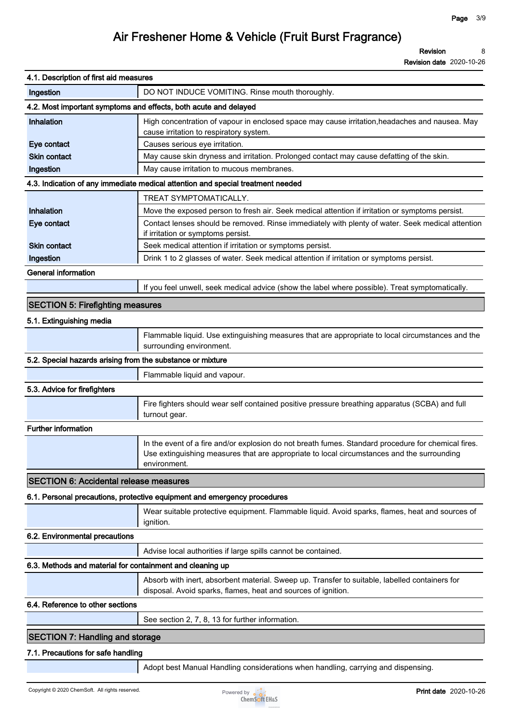**Revision date 2020-10-26**

| 4.1. Description of first aid measures                     |                                                                                                                                                                                                                   |
|------------------------------------------------------------|-------------------------------------------------------------------------------------------------------------------------------------------------------------------------------------------------------------------|
| Ingestion                                                  | DO NOT INDUCE VOMITING. Rinse mouth thoroughly.                                                                                                                                                                   |
|                                                            | 4.2. Most important symptoms and effects, both acute and delayed                                                                                                                                                  |
| Inhalation                                                 | High concentration of vapour in enclosed space may cause irritation, headaches and nausea. May<br>cause irritation to respiratory system.                                                                         |
| Eye contact                                                | Causes serious eye irritation.                                                                                                                                                                                    |
| <b>Skin contact</b>                                        | May cause skin dryness and irritation. Prolonged contact may cause defatting of the skin.                                                                                                                         |
| Ingestion                                                  | May cause irritation to mucous membranes.                                                                                                                                                                         |
|                                                            | 4.3. Indication of any immediate medical attention and special treatment needed                                                                                                                                   |
|                                                            | TREAT SYMPTOMATICALLY.                                                                                                                                                                                            |
| Inhalation                                                 | Move the exposed person to fresh air. Seek medical attention if irritation or symptoms persist.                                                                                                                   |
| Eye contact                                                | Contact lenses should be removed. Rinse immediately with plenty of water. Seek medical attention<br>if irritation or symptoms persist.                                                                            |
| <b>Skin contact</b>                                        | Seek medical attention if irritation or symptoms persist.                                                                                                                                                         |
| Ingestion                                                  | Drink 1 to 2 glasses of water. Seek medical attention if irritation or symptoms persist.                                                                                                                          |
| <b>General information</b>                                 |                                                                                                                                                                                                                   |
|                                                            | If you feel unwell, seek medical advice (show the label where possible). Treat symptomatically.                                                                                                                   |
| <b>SECTION 5: Firefighting measures</b>                    |                                                                                                                                                                                                                   |
| 5.1. Extinguishing media                                   |                                                                                                                                                                                                                   |
|                                                            | Flammable liquid. Use extinguishing measures that are appropriate to local circumstances and the                                                                                                                  |
|                                                            | surrounding environment.                                                                                                                                                                                          |
| 5.2. Special hazards arising from the substance or mixture |                                                                                                                                                                                                                   |
|                                                            | Flammable liquid and vapour.                                                                                                                                                                                      |
| 5.3. Advice for firefighters                               |                                                                                                                                                                                                                   |
|                                                            | Fire fighters should wear self contained positive pressure breathing apparatus (SCBA) and full<br>turnout gear.                                                                                                   |
| <b>Further information</b>                                 |                                                                                                                                                                                                                   |
|                                                            | In the event of a fire and/or explosion do not breath fumes. Standard procedure for chemical fires.<br>Use extinguishing measures that are appropriate to local circumstances and the surrounding<br>environment. |
| <b>SECTION 6: Accidental release measures</b>              |                                                                                                                                                                                                                   |
|                                                            | 6.1. Personal precautions, protective equipment and emergency procedures                                                                                                                                          |
|                                                            |                                                                                                                                                                                                                   |
|                                                            | Wear suitable protective equipment. Flammable liquid. Avoid sparks, flames, heat and sources of<br>ignition.                                                                                                      |
| 6.2. Environmental precautions                             |                                                                                                                                                                                                                   |
|                                                            | Advise local authorities if large spills cannot be contained.                                                                                                                                                     |
| 6.3. Methods and material for containment and cleaning up  |                                                                                                                                                                                                                   |
|                                                            | Absorb with inert, absorbent material. Sweep up. Transfer to suitable, labelled containers for<br>disposal. Avoid sparks, flames, heat and sources of ignition.                                                   |
| 6.4. Reference to other sections                           |                                                                                                                                                                                                                   |
|                                                            | See section 2, 7, 8, 13 for further information.                                                                                                                                                                  |
| <b>SECTION 7: Handling and storage</b>                     |                                                                                                                                                                                                                   |
|                                                            |                                                                                                                                                                                                                   |
| 7.1. Precautions for safe handling                         |                                                                                                                                                                                                                   |
|                                                            | Adopt best Manual Handling considerations when handling, carrying and dispensing.                                                                                                                                 |

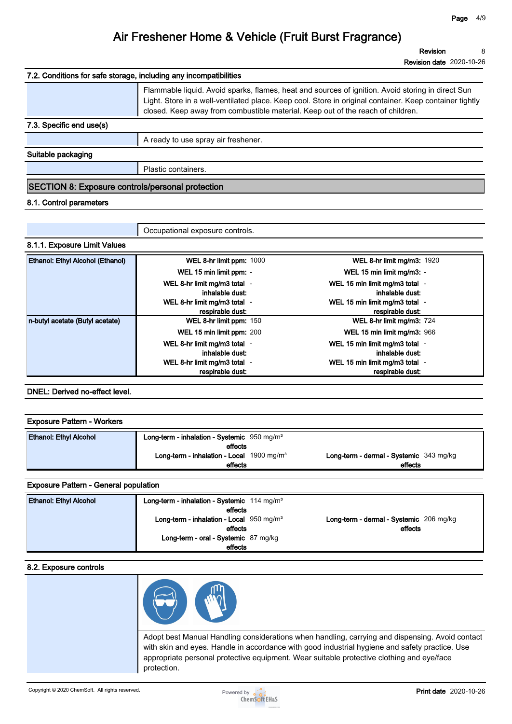|                                                                   | <b>Revision date 2020-10-26</b>                                                                                                                                                                                                                                                                 |
|-------------------------------------------------------------------|-------------------------------------------------------------------------------------------------------------------------------------------------------------------------------------------------------------------------------------------------------------------------------------------------|
| 7.2. Conditions for safe storage, including any incompatibilities |                                                                                                                                                                                                                                                                                                 |
|                                                                   | Flammable liquid. Avoid sparks, flames, heat and sources of ignition. Avoid storing in direct Sun<br>Light. Store in a well-ventilated place. Keep cool. Store in original container. Keep container tightly<br>closed. Keep away from combustible material. Keep out of the reach of children. |
| 7.3. Specific end use(s)                                          |                                                                                                                                                                                                                                                                                                 |
|                                                                   | A ready to use spray air freshener.                                                                                                                                                                                                                                                             |
| Suitable packaging                                                |                                                                                                                                                                                                                                                                                                 |
|                                                                   | Plastic containers.                                                                                                                                                                                                                                                                             |
| SECTION 8: Exposure controls/personal protection                  |                                                                                                                                                                                                                                                                                                 |

### **8.1. Control parameters**

|                                  | Occupational exposure controls.                  |                                                    |  |
|----------------------------------|--------------------------------------------------|----------------------------------------------------|--|
| 8.1.1. Exposure Limit Values     |                                                  |                                                    |  |
| Ethanol: Ethyl Alcohol (Ethanol) | WEL 8-hr limit ppm: 1000                         | <b>WEL 8-hr limit mg/m3: 1920</b>                  |  |
|                                  | WEL 15 min limit ppm: -                          | WEL 15 min limit mg/m3: -                          |  |
|                                  | WEL 8-hr limit mg/m3 total -<br>inhalable dust:  | WEL 15 min limit mg/m3 total -<br>inhalable dust:  |  |
|                                  | WEL 8-hr limit mg/m3 total -<br>respirable dust: | WEL 15 min limit mg/m3 total -<br>respirable dust: |  |
| n-butyl acetate (Butyl acetate)  | WEL 8-hr limit ppm: 150                          | WEL 8-hr limit mg/m3: 724                          |  |
|                                  | WEL 15 min limit ppm: 200                        | WEL 15 min limit mg/m3: 966                        |  |
|                                  | WEL 8-hr limit mg/m3 total -<br>inhalable dust:  | WEL 15 min limit mg/m3 total -<br>inhalable dust:  |  |
|                                  | WEL 8-hr limit mg/m3 total -<br>respirable dust: | WEL 15 min limit mg/m3 total -<br>respirable dust: |  |

### **DNEL: Derived no-effect level.**

| <b>Exposure Pattern - Workers</b> |                                                             |                                         |
|-----------------------------------|-------------------------------------------------------------|-----------------------------------------|
| <b>Ethanol: Ethyl Alcohol</b>     | Long-term - inhalation - Systemic $950 \text{ mg/m}^3$      |                                         |
|                                   | effects                                                     |                                         |
|                                   | <b>Long-term - inhalation - Local</b> $1900 \text{ mg/m}^3$ | Long-term - dermal - Systemic 343 mg/kg |
|                                   | effects                                                     | effects                                 |

### **Exposure Pattern - General population**

| <b>Ethanol: Ethyl Alcohol</b> | Long-term - inhalation - Systemic $114 \text{ mg/m}^3$ |                                         |
|-------------------------------|--------------------------------------------------------|-----------------------------------------|
|                               | effects                                                |                                         |
|                               | Long-term - inhalation - Local $950 \text{ mg/m}^3$    | Long-term - dermal - Systemic 206 mg/kg |
|                               | effects                                                | effects                                 |
|                               | Long-term - oral - Systemic 87 mg/kg                   |                                         |
|                               | effects                                                |                                         |

#### **8.2. Exposure controls**



**Adopt best Manual Handling considerations when handling, carrying and dispensing. Avoid contact with skin and eyes. Handle in accordance with good industrial hygiene and safety practice. Use appropriate personal protective equipment. Wear suitable protective clothing and eye/face protection.**

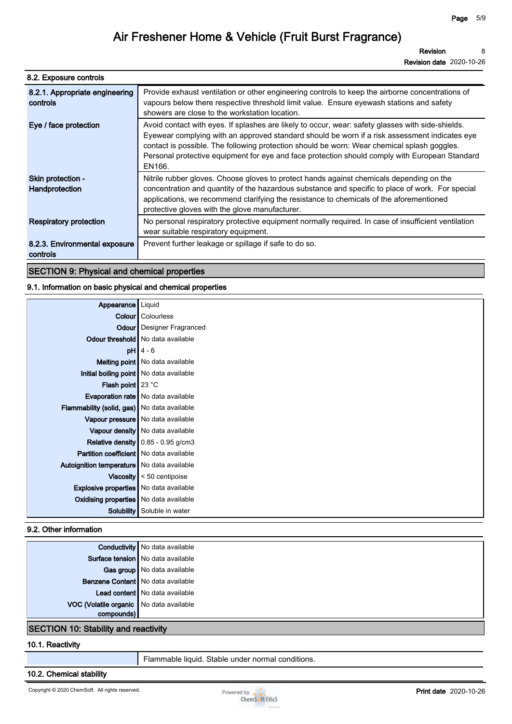| 8.2. Exposure controls                     |                                                                                                                                                                                                                                                                                                                                                                                                               |
|--------------------------------------------|---------------------------------------------------------------------------------------------------------------------------------------------------------------------------------------------------------------------------------------------------------------------------------------------------------------------------------------------------------------------------------------------------------------|
| 8.2.1. Appropriate engineering<br>controls | Provide exhaust ventilation or other engineering controls to keep the airborne concentrations of<br>vapours below there respective threshold limit value. Ensure eyewash stations and safety<br>showers are close to the workstation location.                                                                                                                                                                |
| Eye / face protection                      | Avoid contact with eyes. If splashes are likely to occur, wear: safety glasses with side-shields.<br>Eyewear complying with an approved standard should be worn if a risk assessment indicates eye<br>contact is possible. The following protection should be worn: Wear chemical splash goggles.<br>Personal protective equipment for eye and face protection should comply with European Standard<br>EN166. |
| Skin protection -<br>Handprotection        | Nitrile rubber gloves. Choose gloves to protect hands against chemicals depending on the<br>concentration and quantity of the hazardous substance and specific to place of work. For special<br>applications, we recommend clarifying the resistance to chemicals of the aforementioned<br>protective gloves with the glove manufacturer.                                                                     |
| <b>Respiratory protection</b>              | No personal respiratory protective equipment normally required. In case of insufficient ventilation<br>wear suitable respiratory equipment.                                                                                                                                                                                                                                                                   |
| 8.2.3. Environmental exposure<br>controls  | Prevent further leakage or spillage if safe to do so.                                                                                                                                                                                                                                                                                                                                                         |
|                                            |                                                                                                                                                                                                                                                                                                                                                                                                               |

**SECTION 9: Physical and chemical properties**

### **9.1. Information on basic physical and chemical properties**

| Appearance                                     | Liquid                                    |
|------------------------------------------------|-------------------------------------------|
|                                                | <b>Colour</b> Colourless                  |
|                                                | <b>Odour</b> Designer Fragranced          |
|                                                | <b>Odour threshold</b> No data available  |
|                                                | $pH$ 4 - 6                                |
|                                                | <b>Melting point</b> No data available    |
|                                                | Initial boiling point   No data available |
| <b>Flash point</b> $23^{\circ}$ C              |                                           |
|                                                | <b>Evaporation rate</b> No data available |
| Flammability (solid, gas)   No data available  |                                           |
|                                                | Vapour pressure   No data available       |
|                                                | Vapour density   No data available        |
|                                                | Relative density   0.85 - 0.95 g/cm3      |
| <b>Partition coefficient</b> No data available |                                           |
| Autoignition temperature   No data available   |                                           |
|                                                | Viscosity $\vert$ < 50 centipoise         |
| <b>Explosive properties</b> No data available  |                                           |
| <b>Oxidising properties</b> No data available  |                                           |
| Solubility                                     | Soluble in water                          |

### **9.2. Other information**

| Conductivity No data available          |  |
|-----------------------------------------|--|
| Surface tension   No data available     |  |
| Gas group   No data available           |  |
| Benzene Content   No data available     |  |
| Lead content   No data available        |  |
| VOC (Volatile organic No data available |  |
| $com$                                   |  |

### **SECTION 10: Stability and reactivity**

#### **10.1. Reactivity**

**Flammable liquid. Stable under normal conditions.**

### **10.2. Chemical stability**

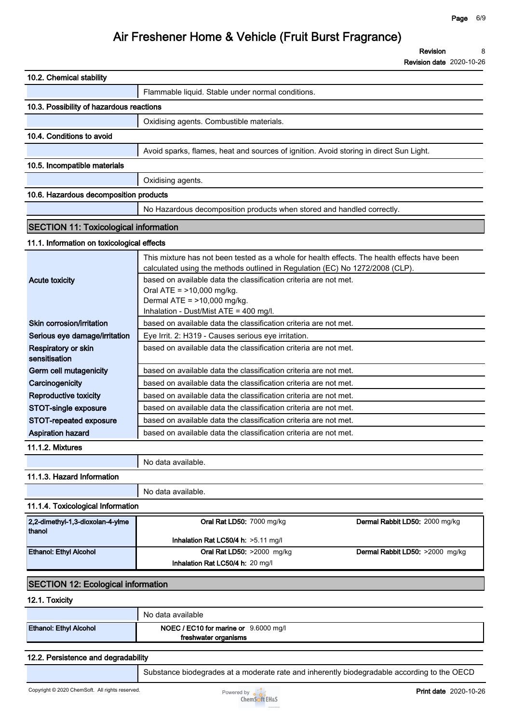**Revision date 2020-10-26**

| 10.2. Chemical stability                     |                                                                                                                                                                              |                                 |
|----------------------------------------------|------------------------------------------------------------------------------------------------------------------------------------------------------------------------------|---------------------------------|
|                                              | Flammable liquid. Stable under normal conditions.                                                                                                                            |                                 |
| 10.3. Possibility of hazardous reactions     |                                                                                                                                                                              |                                 |
|                                              | Oxidising agents. Combustible materials.                                                                                                                                     |                                 |
| 10.4. Conditions to avoid                    |                                                                                                                                                                              |                                 |
|                                              | Avoid sparks, flames, heat and sources of ignition. Avoid storing in direct Sun Light.                                                                                       |                                 |
| 10.5. Incompatible materials                 |                                                                                                                                                                              |                                 |
|                                              | Oxidising agents.                                                                                                                                                            |                                 |
| 10.6. Hazardous decomposition products       |                                                                                                                                                                              |                                 |
|                                              | No Hazardous decomposition products when stored and handled correctly.                                                                                                       |                                 |
|                                              |                                                                                                                                                                              |                                 |
| <b>SECTION 11: Toxicological information</b> |                                                                                                                                                                              |                                 |
| 11.1. Information on toxicological effects   |                                                                                                                                                                              |                                 |
|                                              | This mixture has not been tested as a whole for health effects. The health effects have been<br>calculated using the methods outlined in Regulation (EC) No 1272/2008 (CLP). |                                 |
| <b>Acute toxicity</b>                        | based on available data the classification criteria are not met.                                                                                                             |                                 |
|                                              | Oral ATE = >10,000 mg/kg.<br>Dermal ATE = >10,000 mg/kg.                                                                                                                     |                                 |
|                                              | Inhalation - Dust/Mist ATE = 400 mg/l.                                                                                                                                       |                                 |
| Skin corrosion/irritation                    | based on available data the classification criteria are not met.                                                                                                             |                                 |
| Serious eye damage/irritation                | Eye Irrit. 2: H319 - Causes serious eye irritation.                                                                                                                          |                                 |
| Respiratory or skin<br>sensitisation         | based on available data the classification criteria are not met.                                                                                                             |                                 |
| Germ cell mutagenicity                       | based on available data the classification criteria are not met.                                                                                                             |                                 |
| Carcinogenicity                              | based on available data the classification criteria are not met.                                                                                                             |                                 |
| Reproductive toxicity                        | based on available data the classification criteria are not met.                                                                                                             |                                 |
| STOT-single exposure                         | based on available data the classification criteria are not met.                                                                                                             |                                 |
| STOT-repeated exposure                       | based on available data the classification criteria are not met.                                                                                                             |                                 |
| <b>Aspiration hazard</b>                     | based on available data the classification criteria are not met.                                                                                                             |                                 |
| 11.1.2. Mixtures                             |                                                                                                                                                                              |                                 |
|                                              | No data available.                                                                                                                                                           |                                 |
| 11.1.3. Hazard Information                   |                                                                                                                                                                              |                                 |
|                                              | No data available.                                                                                                                                                           |                                 |
| 11.1.4. Toxicological Information            |                                                                                                                                                                              |                                 |
| 2,2-dimethyl-1,3-dioxolan-4-ylme             | Oral Rat LD50: 7000 mg/kg                                                                                                                                                    | Dermal Rabbit LD50: 2000 mg/kg  |
| thanol                                       |                                                                                                                                                                              |                                 |
|                                              | Inhalation Rat LC50/4 h: >5.11 mg/l                                                                                                                                          |                                 |
| Ethanol: Ethyl Alcohol                       | Oral Rat LD50: >2000 mg/kg<br>Inhalation Rat LC50/4 h: 20 mg/l                                                                                                               | Dermal Rabbit LD50: >2000 mg/kg |
|                                              |                                                                                                                                                                              |                                 |
| <b>SECTION 12: Ecological information</b>    |                                                                                                                                                                              |                                 |
|                                              |                                                                                                                                                                              |                                 |

**12.1. Toxicity**

|                               | No data available                     |
|-------------------------------|---------------------------------------|
| <b>Ethanol: Ethyl Alcohol</b> | NOEC / EC10 for marine or 9.6000 mg/l |
|                               | freshwater organisms                  |

## **12.2. Persistence and degradability**

**Substance biodegrades at a moderate rate and inherently biodegradable according to the OECD** 

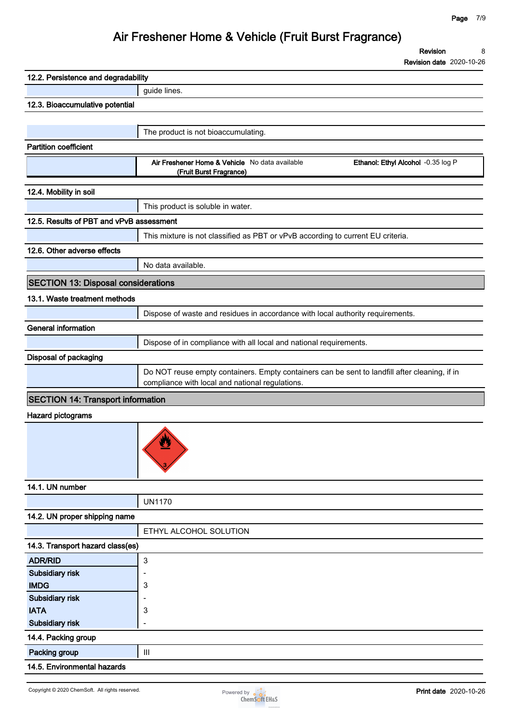**Revision 8**

**Revision date 2020-10-26**

| 12.2. Persistence and degradability        |                                                                                               |
|--------------------------------------------|-----------------------------------------------------------------------------------------------|
|                                            | guide lines.                                                                                  |
| 12.3. Bioaccumulative potential            |                                                                                               |
|                                            |                                                                                               |
|                                            | The product is not bioaccumulating.                                                           |
| <b>Partition coefficient</b>               |                                                                                               |
|                                            | Air Freshener Home & Vehicle No data available<br>Ethanol: Ethyl Alcohol -0.35 log P          |
|                                            | (Fruit Burst Fragrance)                                                                       |
| 12.4. Mobility in soil                     |                                                                                               |
|                                            | This product is soluble in water.                                                             |
| 12.5. Results of PBT and vPvB assessment   |                                                                                               |
|                                            | This mixture is not classified as PBT or vPvB according to current EU criteria.               |
| 12.6. Other adverse effects                |                                                                                               |
|                                            | No data available.                                                                            |
|                                            |                                                                                               |
| <b>SECTION 13: Disposal considerations</b> |                                                                                               |
| 13.1. Waste treatment methods              |                                                                                               |
|                                            | Dispose of waste and residues in accordance with local authority requirements.                |
| <b>General information</b>                 |                                                                                               |
|                                            | Dispose of in compliance with all local and national requirements.                            |
| Disposal of packaging                      |                                                                                               |
|                                            | Do NOT reuse empty containers. Empty containers can be sent to landfill after cleaning, if in |
|                                            | compliance with local and national regulations.                                               |
| <b>SECTION 14: Transport information</b>   |                                                                                               |
| <b>Hazard pictograms</b>                   |                                                                                               |
|                                            |                                                                                               |
|                                            |                                                                                               |
|                                            |                                                                                               |
|                                            |                                                                                               |
|                                            |                                                                                               |
| 14.1. UN number                            |                                                                                               |
|                                            | <b>UN1170</b>                                                                                 |
| 14.2. UN proper shipping name              |                                                                                               |
|                                            | ETHYL ALCOHOL SOLUTION                                                                        |
| 14.3. Transport hazard class(es)           |                                                                                               |
| <b>ADR/RID</b>                             | 3                                                                                             |
| Subsidiary risk                            | Ē,                                                                                            |
| <b>IMDG</b>                                | 3                                                                                             |
| Subsidiary risk                            |                                                                                               |
| <b>IATA</b><br>Subsidiary risk             | 3<br>÷                                                                                        |
|                                            |                                                                                               |
| 14.4. Packing group                        |                                                                                               |
| Packing group                              | $\mathop{\rm III}$                                                                            |
| 14.5. Environmental hazards                |                                                                                               |

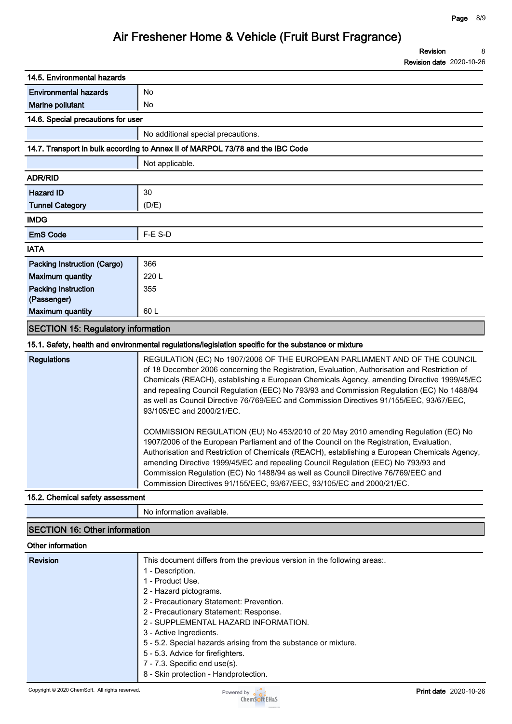| 14.5. Environmental hazards               |                                                                                                                                                                                                                                                                                                                                                                                                                                                                                                                                                                                                                                                                                                                                                                                                                                                                                                                                                                                                                                         |
|-------------------------------------------|-----------------------------------------------------------------------------------------------------------------------------------------------------------------------------------------------------------------------------------------------------------------------------------------------------------------------------------------------------------------------------------------------------------------------------------------------------------------------------------------------------------------------------------------------------------------------------------------------------------------------------------------------------------------------------------------------------------------------------------------------------------------------------------------------------------------------------------------------------------------------------------------------------------------------------------------------------------------------------------------------------------------------------------------|
| <b>Environmental hazards</b>              | No                                                                                                                                                                                                                                                                                                                                                                                                                                                                                                                                                                                                                                                                                                                                                                                                                                                                                                                                                                                                                                      |
| Marine pollutant                          | No                                                                                                                                                                                                                                                                                                                                                                                                                                                                                                                                                                                                                                                                                                                                                                                                                                                                                                                                                                                                                                      |
| 14.6. Special precautions for user        |                                                                                                                                                                                                                                                                                                                                                                                                                                                                                                                                                                                                                                                                                                                                                                                                                                                                                                                                                                                                                                         |
|                                           | No additional special precautions.                                                                                                                                                                                                                                                                                                                                                                                                                                                                                                                                                                                                                                                                                                                                                                                                                                                                                                                                                                                                      |
|                                           | 14.7. Transport in bulk according to Annex II of MARPOL 73/78 and the IBC Code                                                                                                                                                                                                                                                                                                                                                                                                                                                                                                                                                                                                                                                                                                                                                                                                                                                                                                                                                          |
|                                           | Not applicable.                                                                                                                                                                                                                                                                                                                                                                                                                                                                                                                                                                                                                                                                                                                                                                                                                                                                                                                                                                                                                         |
| <b>ADR/RID</b>                            |                                                                                                                                                                                                                                                                                                                                                                                                                                                                                                                                                                                                                                                                                                                                                                                                                                                                                                                                                                                                                                         |
| <b>Hazard ID</b>                          | 30                                                                                                                                                                                                                                                                                                                                                                                                                                                                                                                                                                                                                                                                                                                                                                                                                                                                                                                                                                                                                                      |
| <b>Tunnel Category</b>                    | (D/E)                                                                                                                                                                                                                                                                                                                                                                                                                                                                                                                                                                                                                                                                                                                                                                                                                                                                                                                                                                                                                                   |
| <b>IMDG</b>                               |                                                                                                                                                                                                                                                                                                                                                                                                                                                                                                                                                                                                                                                                                                                                                                                                                                                                                                                                                                                                                                         |
| <b>EmS Code</b>                           | F-E S-D                                                                                                                                                                                                                                                                                                                                                                                                                                                                                                                                                                                                                                                                                                                                                                                                                                                                                                                                                                                                                                 |
| <b>IATA</b>                               |                                                                                                                                                                                                                                                                                                                                                                                                                                                                                                                                                                                                                                                                                                                                                                                                                                                                                                                                                                                                                                         |
| Packing Instruction (Cargo)               | 366                                                                                                                                                                                                                                                                                                                                                                                                                                                                                                                                                                                                                                                                                                                                                                                                                                                                                                                                                                                                                                     |
| <b>Maximum quantity</b>                   | 220L                                                                                                                                                                                                                                                                                                                                                                                                                                                                                                                                                                                                                                                                                                                                                                                                                                                                                                                                                                                                                                    |
| <b>Packing Instruction</b>                | 355                                                                                                                                                                                                                                                                                                                                                                                                                                                                                                                                                                                                                                                                                                                                                                                                                                                                                                                                                                                                                                     |
| (Passenger)                               |                                                                                                                                                                                                                                                                                                                                                                                                                                                                                                                                                                                                                                                                                                                                                                                                                                                                                                                                                                                                                                         |
| <b>Maximum quantity</b>                   | 60 L                                                                                                                                                                                                                                                                                                                                                                                                                                                                                                                                                                                                                                                                                                                                                                                                                                                                                                                                                                                                                                    |
| <b>SECTION 15: Regulatory information</b> |                                                                                                                                                                                                                                                                                                                                                                                                                                                                                                                                                                                                                                                                                                                                                                                                                                                                                                                                                                                                                                         |
|                                           | 15.1. Safety, health and environmental regulations/legislation specific for the substance or mixture                                                                                                                                                                                                                                                                                                                                                                                                                                                                                                                                                                                                                                                                                                                                                                                                                                                                                                                                    |
| <b>Regulations</b>                        | REGULATION (EC) No 1907/2006 OF THE EUROPEAN PARLIAMENT AND OF THE COUNCIL<br>of 18 December 2006 concerning the Registration, Evaluation, Authorisation and Restriction of<br>Chemicals (REACH), establishing a European Chemicals Agency, amending Directive 1999/45/EC<br>and repealing Council Regulation (EEC) No 793/93 and Commission Regulation (EC) No 1488/94<br>as well as Council Directive 76/769/EEC and Commission Directives 91/155/EEC, 93/67/EEC,<br>93/105/EC and 2000/21/EC.<br>COMMISSION REGULATION (EU) No 453/2010 of 20 May 2010 amending Regulation (EC) No<br>1907/2006 of the European Parliament and of the Council on the Registration, Evaluation,<br>Authorisation and Restriction of Chemicals (REACH), establishing a European Chemicals Agency,<br>amending Directive 1999/45/EC and repealing Council Regulation (EEC) No 793/93 and<br>Commission Regulation (EC) No 1488/94 as well as Council Directive 76/769/EEC and<br>Commission Directives 91/155/EEC, 93/67/EEC, 93/105/EC and 2000/21/EC. |
| 15.2. Chemical safety assessment          |                                                                                                                                                                                                                                                                                                                                                                                                                                                                                                                                                                                                                                                                                                                                                                                                                                                                                                                                                                                                                                         |
|                                           | No information available.                                                                                                                                                                                                                                                                                                                                                                                                                                                                                                                                                                                                                                                                                                                                                                                                                                                                                                                                                                                                               |
| <b>SECTION 16: Other information</b>      |                                                                                                                                                                                                                                                                                                                                                                                                                                                                                                                                                                                                                                                                                                                                                                                                                                                                                                                                                                                                                                         |
| Other information                         |                                                                                                                                                                                                                                                                                                                                                                                                                                                                                                                                                                                                                                                                                                                                                                                                                                                                                                                                                                                                                                         |
| <b>Revision</b>                           | This document differs from the previous version in the following areas:.<br>1 - Description.<br>1 - Product Use.                                                                                                                                                                                                                                                                                                                                                                                                                                                                                                                                                                                                                                                                                                                                                                                                                                                                                                                        |